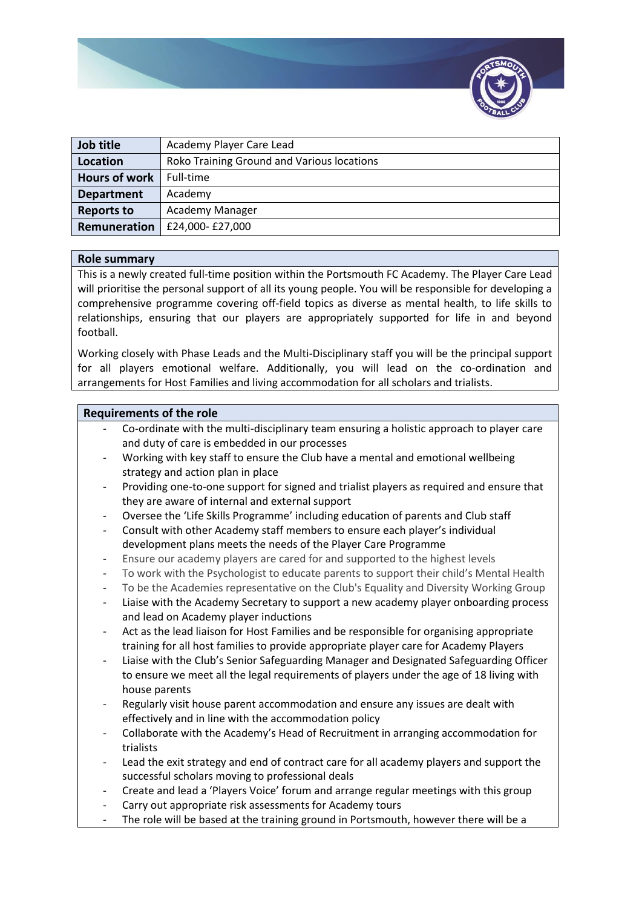

| Job title            | Academy Player Care Lead                   |
|----------------------|--------------------------------------------|
| Location             | Roko Training Ground and Various locations |
| <b>Hours of work</b> | Full-time                                  |
| <b>Department</b>    | Academy                                    |
| <b>Reports to</b>    | Academy Manager                            |
| Remuneration         | £24,000-£27,000                            |

## **Role summary**

This is a newly created full-time position within the Portsmouth FC Academy. The Player Care Lead will prioritise the personal support of all its young people. You will be responsible for developing a comprehensive programme covering off-field topics as diverse as mental health, to life skills to relationships, ensuring that our players are appropriately supported for life in and beyond football.

Working closely with Phase Leads and the Multi-Disciplinary staff you will be the principal support for all players emotional welfare. Additionally, you will lead on the co-ordination and arrangements for Host Families and living accommodation for all scholars and trialists.

# **Requirements of the role**

- Co-ordinate with the multi-disciplinary team ensuring a holistic approach to player care and duty of care is embedded in our processes
- Working with key staff to ensure the Club have a mental and emotional wellbeing strategy and action plan in place
- Providing one-to-one support for signed and trialist players as required and ensure that they are aware of internal and external support
- Oversee the 'Life Skills Programme' including education of parents and Club staff
- Consult with other Academy staff members to ensure each player's individual development plans meets the needs of the Player Care Programme
- Ensure our academy players are cared for and supported to the highest levels
- To work with the Psychologist to educate parents to support their child's Mental Health
- To be the Academies representative on the Club's Equality and Diversity Working Group
- Liaise with the Academy Secretary to support a new academy player onboarding process and lead on Academy player inductions
- Act as the lead liaison for Host Families and be responsible for organising appropriate training for all host families to provide appropriate player care for Academy Players
- Liaise with the Club's Senior Safeguarding Manager and Designated Safeguarding Officer to ensure we meet all the legal requirements of players under the age of 18 living with house parents
- Regularly visit house parent accommodation and ensure any issues are dealt with effectively and in line with the accommodation policy
- Collaborate with the Academy's Head of Recruitment in arranging accommodation for trialists
- Lead the exit strategy and end of contract care for all academy players and support the successful scholars moving to professional deals
- Create and lead a 'Players Voice' forum and arrange regular meetings with this group
- Carry out appropriate risk assessments for Academy tours
- The role will be based at the training ground in Portsmouth, however there will be a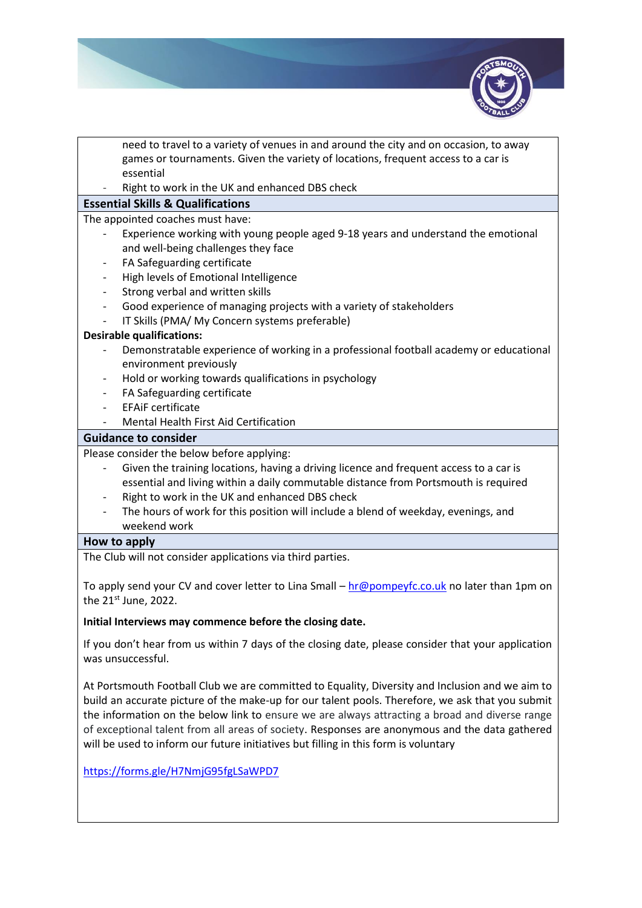

need to travel to a variety of venues in and around the city and on occasion, to away games or tournaments. Given the variety of locations, frequent access to a car is essential

Right to work in the UK and enhanced DBS check

# **Essential Skills & Qualifications**

The appointed coaches must have:

- Experience working with young people aged 9-18 years and understand the emotional and well-being challenges they face
- FA Safeguarding certificate
- High levels of Emotional Intelligence
- Strong verbal and written skills
- Good experience of managing projects with a variety of stakeholders
- IT Skills (PMA/ My Concern systems preferable)

# **Desirable qualifications:**

- Demonstratable experience of working in a professional football academy or educational environment previously
- Hold or working towards qualifications in psychology
- FA Safeguarding certificate
- EFAiF certificate
- Mental Health First Aid Certification

## **Guidance to consider**

Please consider the below before applying:

- Given the training locations, having a driving licence and frequent access to a car is essential and living within a daily commutable distance from Portsmouth is required
- Right to work in the UK and enhanced DBS check
- The hours of work for this position will include a blend of weekday, evenings, and weekend work

## **How to apply**

The Club will not consider applications via third parties.

To apply send your CV and cover letter to Lina Small – [hr@pompeyfc.co.uk](mailto:hr@pompeyfc.co.uk) no later than 1pm on the 21<sup>st</sup> June, 2022.

## **Initial Interviews may commence before the closing date.**

If you don't hear from us within 7 days of the closing date, please consider that your application was unsuccessful.

At Portsmouth Football Club we are committed to Equality, Diversity and Inclusion and we aim to build an accurate picture of the make-up for our talent pools. Therefore, we ask that you submit the information on the below link to ensure we are always attracting a broad and diverse range of exceptional talent from all areas of society. Responses are anonymous and the data gathered will be used to inform our future initiatives but filling in this form is voluntary

<https://forms.gle/H7NmjG95fgLSaWPD7>